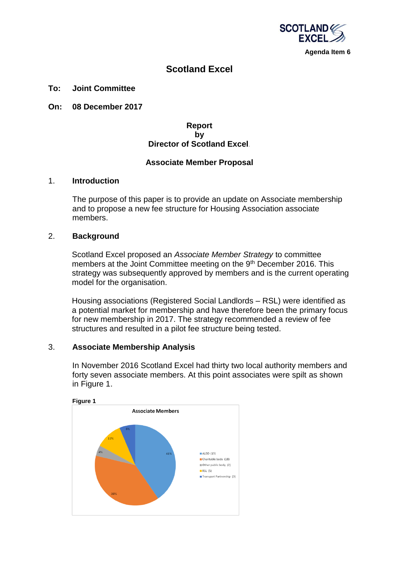

# **Scotland Excel**

#### **To: Joint Committee**

**On: 08 December 2017**

## **Report by Director of Scotland Excel***.*

#### **Associate Member Proposal**

#### 1. **Introduction**

The purpose of this paper is to provide an update on Associate membership and to propose a new fee structure for Housing Association associate members.

#### 2. **Background**

Scotland Excel proposed an *Associate Member Strategy* to committee members at the Joint Committee meeting on the 9<sup>th</sup> December 2016. This strategy was subsequently approved by members and is the current operating model for the organisation.

Housing associations (Registered Social Landlords – RSL) were identified as a potential market for membership and have therefore been the primary focus for new membership in 2017. The strategy recommended a review of fee structures and resulted in a pilot fee structure being tested.

#### 3. **Associate Membership Analysis**

In November 2016 Scotland Excel had thirty two local authority members and forty seven associate members. At this point associates were spilt as shown in Figure 1.

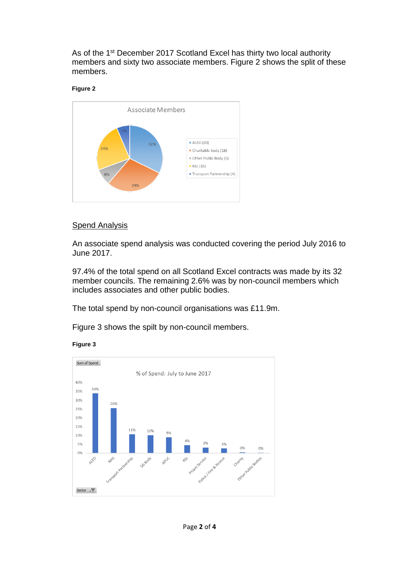As of the 1<sup>st</sup> December 2017 Scotland Excel has thirty two local authority members and sixty two associate members. Figure 2 shows the split of these members.

#### **Figure 2**



## Spend Analysis

An associate spend analysis was conducted covering the period July 2016 to June 2017.

97.4% of the total spend on all Scotland Excel contracts was made by its 32 member councils. The remaining 2.6% was by non-council members which includes associates and other public bodies.

The total spend by non-council organisations was £11.9m.

Figure 3 shows the spilt by non-council members.



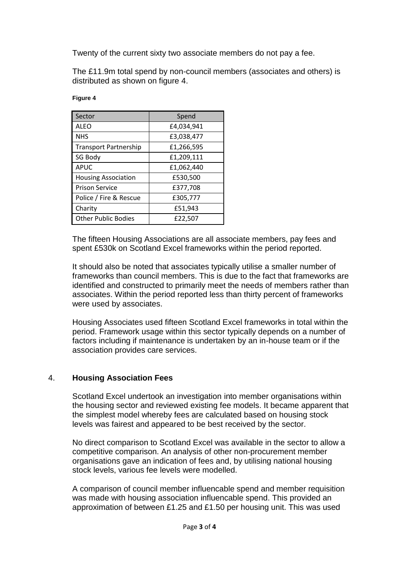Twenty of the current sixty two associate members do not pay a fee.

The £11.9m total spend by non-council members (associates and others) is distributed as shown on figure 4.

| Sector                       | Spend      |
|------------------------------|------------|
| <b>ALEO</b>                  | £4,034,941 |
| <b>NHS</b>                   | £3,038,477 |
| <b>Transport Partnership</b> | £1,266,595 |
| SG Body                      | £1,209,111 |
| <b>APUC</b>                  | £1,062,440 |
| <b>Housing Association</b>   | £530,500   |
| <b>Prison Service</b>        | £377,708   |
| Police / Fire & Rescue       | £305,777   |
| Charity                      | £51,943    |
| <b>Other Public Bodies</b>   | £22,507    |

#### **Figure 4**

The fifteen Housing Associations are all associate members, pay fees and spent £530k on Scotland Excel frameworks within the period reported.

It should also be noted that associates typically utilise a smaller number of frameworks than council members. This is due to the fact that frameworks are identified and constructed to primarily meet the needs of members rather than associates. Within the period reported less than thirty percent of frameworks were used by associates.

Housing Associates used fifteen Scotland Excel frameworks in total within the period. Framework usage within this sector typically depends on a number of factors including if maintenance is undertaken by an in-house team or if the association provides care services.

## 4. **Housing Association Fees**

Scotland Excel undertook an investigation into member organisations within the housing sector and reviewed existing fee models. It became apparent that the simplest model whereby fees are calculated based on housing stock levels was fairest and appeared to be best received by the sector.

No direct comparison to Scotland Excel was available in the sector to allow a competitive comparison. An analysis of other non-procurement member organisations gave an indication of fees and, by utilising national housing stock levels, various fee levels were modelled.

A comparison of council member influencable spend and member requisition was made with housing association influencable spend. This provided an approximation of between £1.25 and £1.50 per housing unit. This was used